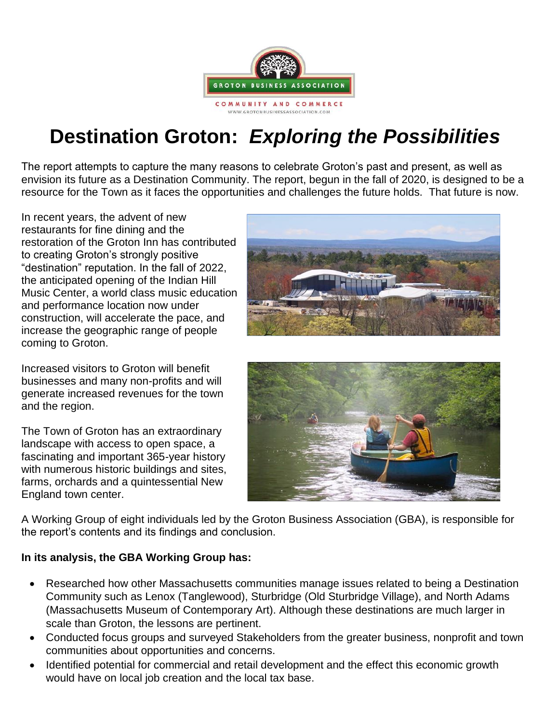

# **Destination Groton:** *Exploring the Possibilities*

The report attempts to capture the many reasons to celebrate Groton's past and present, as well as envision its future as a Destination Community. The report, begun in the fall of 2020, is designed to be a resource for the Town as it faces the opportunities and challenges the future holds. That future is now.

In recent years, the advent of new restaurants for fine dining and the restoration of the Groton Inn has contributed to creating Groton's strongly positive "destination" reputation. In the fall of 2022, the anticipated opening of the Indian Hill Music Center, a world class music education and performance location now under construction, will accelerate the pace, and increase the geographic range of people coming to Groton.

Increased visitors to Groton will benefit businesses and many non-profits and will generate increased revenues for the town and the region.

The Town of Groton has an extraordinary landscape with access to open space, a fascinating and important 365-year history with numerous historic buildings and sites, farms, orchards and a quintessential New England town center.





A Working Group of eight individuals led by the Groton Business Association (GBA), is responsible for the report's contents and its findings and conclusion.

## **In its analysis, the GBA Working Group has:**

- Researched how other Massachusetts communities manage issues related to being a Destination Community such as Lenox (Tanglewood), Sturbridge (Old Sturbridge Village), and North Adams (Massachusetts Museum of Contemporary Art). Although these destinations are much larger in scale than Groton, the lessons are pertinent.
- Conducted focus groups and surveyed Stakeholders from the greater business, nonprofit and town communities about opportunities and concerns.
- Identified potential for commercial and retail development and the effect this economic growth would have on local job creation and the local tax base.